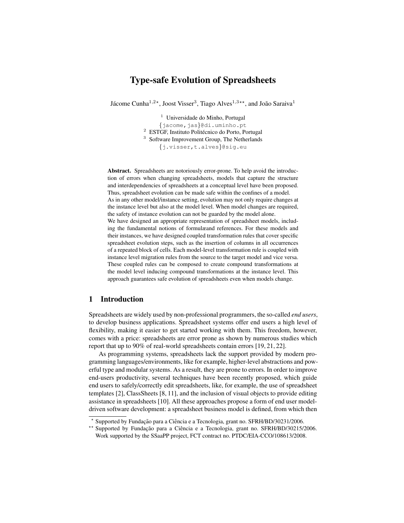# Type-safe Evolution of Spreadsheets

Jácome Cunha $^{1,2\star}$ , Joost Visser<sup>3</sup>, Tiago Alves $^{1,3\star\star}$ , and João Saraiva<sup>1</sup>

<sup>1</sup> Universidade do Minho, Portugal

{jacome,jas}@di.uminho.pt

<sup>2</sup> ESTGF, Instituto Politécnico do Porto, Portugal

<sup>3</sup> Software Improvement Group, The Netherlands {j.visser,t.alves}@sig.eu

Abstract. Spreadsheets are notoriously error-prone. To help avoid the introduction of errors when changing spreadsheets, models that capture the structure and interdependencies of spreadsheets at a conceptual level have been proposed. Thus, spreadsheet evolution can be made safe within the confines of a model. As in any other model/instance setting, evolution may not only require changes at the instance level but also at the model level. When model changes are required, the safety of instance evolution can not be guarded by the model alone. We have designed an appropriate representation of spreadsheet models, including the fundamental notions of formulæand references. For these models and their instances, we have designed coupled transformation rules that cover specific spreadsheet evolution steps, such as the insertion of columns in all occurrences of a repeated block of cells. Each model-level transformation rule is coupled with instance level migration rules from the source to the target model and vice versa. These coupled rules can be composed to create compound transformations at the model level inducing compound transformations at the instance level. This approach guarantees safe evolution of spreadsheets even when models change.

## 1 Introduction

Spreadsheets are widely used by non-professional programmers, the so-called *end users*, to develop business applications. Spreadsheet systems offer end users a high level of flexibility, making it easier to get started working with them. This freedom, however, comes with a price: spreadsheets are error prone as shown by numerous studies which report that up to 90% of real-world spreadsheets contain errors [19, 21, 22].

As programming systems, spreadsheets lack the support provided by modern programming languages/environments, like for example, higher-level abstractions and powerful type and modular systems. As a result, they are prone to errors. In order to improve end-users productivity, several techniques have been recently proposed, which guide end users to safely/correctly edit spreadsheets, like, for example, the use of spreadsheet templates [2], ClassSheets [8, 11], and the inclusion of visual objects to provide editing assistance in spreadsheets [10]. All these approaches propose a form of end user modeldriven software development: a spreadsheet business model is defined, from which then

<sup>\*</sup> Supported by Fundação para a Ciência e a Tecnologia, grant no. SFRH/BD/30231/2006.

<sup>\*\*</sup> Supported by Fundação para a Ciência e a Tecnologia, grant no. SFRH/BD/30215/2006. Work supported by the SSaaPP project, FCT contract no. PTDC/EIA-CCO/108613/2008.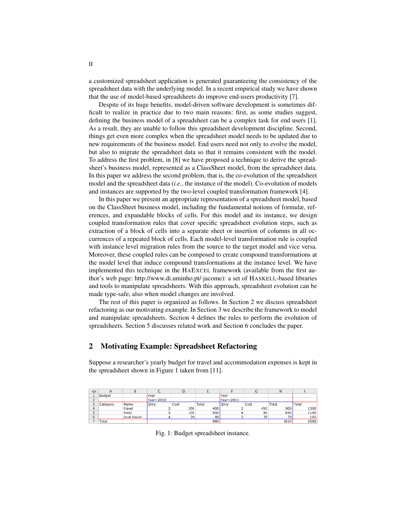a customized spreadsheet application is generated guaranteeing the consistency of the spreadsheet data with the underlying model. In a recent empirical study we have shown that the use of model-based spreadsheets do improve end-users productivity [7].

Despite of its huge benefits, model-driven software development is sometimes difficult to realize in practice due to two main reasons: first, as some studies suggest, defining the business model of a spreadsheet can be a complex task for end users [1]. As a result, they are unable to follow this spreadsheet development discipline. Second, things get even more complex when the spreadsheet model needs to be updated due to new requirements of the business model. End users need not only to evolve the model, but also to migrate the spreadsheet data so that it remains consistent with the model. To address the first problem, in [8] we have proposed a technique to derive the spreadsheet's business model, represented as a ClassSheet model, from the spreadsheet data. In this paper we address the second problem, that is, the co-evolution of the spreadsheet model and the spreadsheet data (*i.e.*, the instance of the model). Co-evolution of models and instances are supported by the two-level coupled transformation framework [4].

In this paper we present an appropriate representation of a spreadsheet model, based on the ClassSheet business model, including the fundamental notions of formulæ, references, and expandable blocks of cells. For this model and its instance, we design coupled transformation rules that cover specific spreadsheet evolution steps, such as extraction of a block of cells into a separate sheet or insertion of columns in all occurrences of a repeated block of cells. Each model-level transformation rule is coupled with instance level migration rules from the source to the target model and vice versa. Moreover, these coupled rules can be composed to create compound transformations at the model level that induce compound transformations at the instance level. We have implemented this technique in the HAEXCEL framework (available from the first author's web page: http://www.di.uminho.pt/-jacome): a set of HASKELL-based libraries and tools to manipulate spreadsheets. With this approach, spreadsheet evolution can be made type-safe, also when model changes are involved.

The rest of this paper is organized as follows. In Section 2 we discuss spreadsheet refactoring as our motivating example. In Section 3 we describe the framework to model and manipulate spreadsheets. Section 4 defines the rules to perform the evolution of spreadsheets. Section 5 discusses related work and Section 6 concludes the paper.

## 2 Motivating Example: Spreadsheet Refactoring

Suppose a researcher's yearly budget for travel and accommodation expenses is kept in the spreadsheet shown in Figure 1 taken from [11].

| $\triangle$                   |          |              |             |      |       |             |      |       |        |
|-------------------------------|----------|--------------|-------------|------|-------|-------------|------|-------|--------|
|                               | Budget   |              | Year        |      |       | Year        |      |       |        |
| $\overline{\phantom{a}}$<br>c |          |              | $Year=2010$ |      |       | $Year=2011$ |      |       |        |
|                               | Category | Name         | Onty        | Cost | Total | Onty        | Cost | Total | 'Total |
| $\overline{4}$                |          | travel       |             | 200  | 400   |             | 450  | 900   | 1300   |
| -                             |          | hotel        |             | 100  | 500   |             | 80   | 640   | 1140   |
| 6                             |          | local travel |             | 20   | 80    |             | 35   | 70    | 150    |
|                               | Total    |              |             |      | 980   |             |      | 1610  | 2590   |

Fig. 1: Budget spreadsheet instance.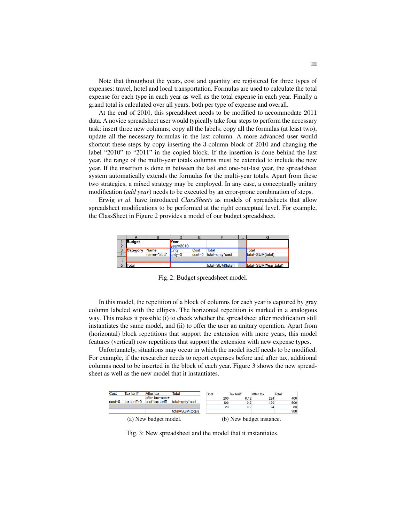Note that throughout the years, cost and quantity are registered for three types of expenses: travel, hotel and local transportation. Formulas are used to calculate the total expense for each type in each year as well as the total expense in each year. Finally a grand total is calculated over all years, both per type of expense and overall.

At the end of 2010, this spreadsheet needs to be modified to accommodate 2011 data. A novice spreadsheet user would typically take four steps to perform the necessary task: insert three new columns; copy all the labels; copy all the formulas (at least two); update all the necessary formulas in the last column. A more advanced user would shortcut these steps by copy-inserting the 3-column block of 2010 and changing the label "2010" to "2011" in the copied block. If the insertion is done behind the last year, the range of the multi-year totals columns must be extended to include the new year. If the insertion is done in between the last and one-but-last year, the spreadsheet system automatically extends the formulas for the multi-year totals. Apart from these two strategies, a mixed strategy may be employed. In any case, a conceptually unitary modification (*add year*) needs to be executed by an error-prone combination of steps.

Erwig *et al.* have introduced *ClassSheets* as models of spreadsheets that allow spreadsheet modifications to be performed at the right conceptual level. For example, the ClassSheet in Figure 2 provides a model of our budget spreadsheet.

|   |               |             |           |            |                  | $\cdots$ |                       |
|---|---------------|-------------|-----------|------------|------------------|----------|-----------------------|
|   | <b>Budget</b> |             | Year      |            |                  |          |                       |
|   |               |             | vear=2010 |            |                  |          |                       |
| 2 | Category      | <b>Name</b> | Qntv      | Cost       | Total            |          | Total                 |
|   |               | name="abc"  | lantv=0   | $cost = 0$ | total=gnty*cost  |          | total=SUM(total)      |
|   |               |             |           |            |                  |          |                       |
|   | Total         |             |           |            | total=SUM(total) |          | total=SUM(Year.total) |

Fig. 2: Budget spreadsheet model.

In this model, the repetition of a block of columns for each year is captured by gray column labeled with the ellipsis. The horizontal repetition is marked in a analogous way. This makes it possible (i) to check whether the spreadsheet after modification still instantiates the same model, and (ii) to offer the user an unitary operation. Apart from (horizontal) block repetitions that support the extension with more years, this model features (vertical) row repetitions that support the extension with new expense types.

Unfortunately, situations may occur in which the model itself needs to be modified. For example, if the researcher needs to report expenses before and after tax, additional columns need to be inserted in the block of each year. Figure 3 shows the new spreadsheet as well as the new model that it instantiates.

| Cost       | <b>Tax tariff</b> | After tax       | Total            | Cost | <b>Tax tariff</b> | After tax | Total |
|------------|-------------------|-----------------|------------------|------|-------------------|-----------|-------|
|            |                   | after tax=cost+ |                  | 200  | 0.12              | 224       | 40    |
| $cost = 0$ | tax tariff=0      | cost*tax tariff | total=gnty*cost  | 100  | 0.2               | 120       | 50    |
|            |                   |                 |                  | 20   | 0.2               | 24        |       |
|            |                   |                 | total=SUM(total) |      |                   |           | 98    |

(a) New budget model. (b) New budget instance.

Fig. 3: New spreadsheet and the model that it instantiates.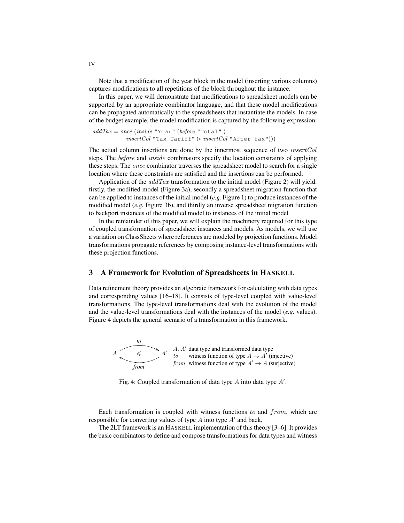Note that a modification of the year block in the model (inserting various columns) captures modifications to all repetitions of the block throughout the instance.

In this paper, we will demonstrate that modifications to spreadsheet models can be supported by an appropriate combinator language, and that these model modifications can be propagated automatically to the spreadsheets that instantiate the models. In case of the budget example, the model modification is captured by the following expression:

```
addTax = once (inside "Year" (before "Total" (insertCol "Tax Tariff" \triangleright insertCol "After tax")))
```
The actual column insertions are done by the innermost sequence of two *insertCol* steps. The *before* and *inside* combinators specify the location constraints of applying these steps. The *once* combinator traverses the spreadsheet model to search for a single location where these constraints are satisfied and the insertions can be performed.

Application of the  $addTax$  transformation to the initial model (Figure 2) will yield: firstly, the modified model (Figure 3a), secondly a spreadsheet migration function that can be applied to instances of the initial model (*e.g.* Figure 1) to produce instances of the modified model (*e.g.* Figure 3b), and thirdly an inverse spreadsheet migration function to backport instances of the modified model to instances of the initial model

In the remainder of this paper, we will explain the machinery required for this type of coupled transformation of spreadsheet instances and models. As models, we will use a variation on ClassSheets where references are modeled by projection functions. Model transformations propagate references by composing instance-level transformations with these projection functions.

## 3 A Framework for Evolution of Spreadsheets in HASKELL

Data refinement theory provides an algebraic framework for calculating with data types and corresponding values [16–18]. It consists of type-level coupled with value-level transformations. The type-level transformations deal with the evolution of the model and the value-level transformations deal with the instances of the model (*e.g.* values). Figure 4 depicts the general scenario of a transformation in this framework.



Fig. 4: Coupled transformation of data type  $A$  into data type  $A'$ .

Each transformation is coupled with witness functions to and from, which are responsible for converting values of type  $A$  into type  $A'$  and back.

The 2LT framework is an HASKELL implementation of this theory [3–6]. It provides the basic combinators to define and compose transformations for data types and witness

IV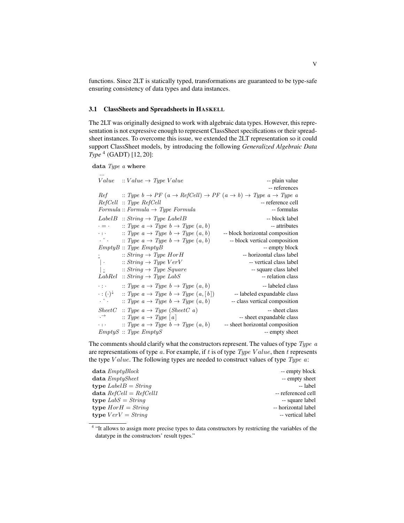functions. Since 2LT is statically typed, transformations are guaranteed to be type-safe ensuring consistency of data types and data instances.

### 3.1 ClassSheets and Spreadsheets in HASKELL

The 2LT was originally designed to work with algebraic data types. However, this representation is not expressive enough to represent ClassSheet specifications or their spreadsheet instances. To overcome this issue, we extended the 2LT representation so it could support ClassSheet models, by introducing the following *Generalized Algebraic Data Type* <sup>4</sup> (GADT) [12, 20]:

data Type a where

...

|                                  | $Value \ :: Value \rightarrow Type \ Value$                                                | -- plain value                  |
|----------------------------------|--------------------------------------------------------------------------------------------|---------------------------------|
|                                  |                                                                                            | -- references                   |
|                                  | Ref :: Type $b \to PF$ $(a \to \text{RefCell}) \to PF$ $(a \to b) \to Type$ $a \to Type$ a |                                 |
|                                  | $RefCell :: Type \nRefCell$                                                                | -- reference cell               |
|                                  | $Formula :: Formula \rightarrow Type Formula$                                              | -- formulas                     |
|                                  | $LabelB :: String \rightarrow Type \ LabelB$                                               | -- block label                  |
| $\cdot = \cdot$                  | $\therefore$ Type $a \rightarrow Type \ b \rightarrow Type \ (a, b)$                       | -- attributes                   |
| <b>Classical</b>                 | $\therefore$ Type $a \rightarrow Type \ b \rightarrow Type \ (a, b)$                       | -- block horizontal composition |
| $\mathcal{L} \cap \mathcal{L}$   | $\therefore$ Type $a \rightarrow Type \ b \rightarrow Type \ (a, b)$                       | -- block vertical composition   |
|                                  | $EmptyB :: Type \; EmptyB$                                                                 | -- empty block                  |
| $\mathbf{r}$                     | $:: String \rightarrow Type HorH$                                                          | -- horizontal class label       |
| $\vert \cdot$                    | $:: String \rightarrow Type \; VerV$                                                       | -- vertical class label         |
| Ι÷                               | $:: String \rightarrow Type Square$                                                        | -- square class label           |
| LabRel                           | $:: String \rightarrow Type \; Labs$                                                       | -- relation class               |
| $\sim 100$                       | $\therefore$ Type $a \rightarrow Type \ b \rightarrow Type \ (a, b)$                       | -- labeled class                |
| $\cdot$ : $(\cdot)^{\downarrow}$ | $\therefore$ Type $a \rightarrow Type \ b \rightarrow Type \ (a, \lceil b \rceil)$         | -- labeled expandable class     |
| $\ldots$                         | $\therefore$ Type $a \rightarrow Type \ b \rightarrow Type \ (a, b)$                       | -- class vertical composition   |
| SheetC                           | $\therefore$ Type $a \rightarrow Type$ (SheetC a)                                          | -- sheet class                  |
| $\rightarrow$                    | $\therefore$ Type $a \rightarrow Type \vert a \vert$                                       | -- sheet expandable class       |
| <b>Classical</b>                 | $\therefore$ Type $a \rightarrow Type \ b \rightarrow Type \ (a, b)$                       | -- sheet horizontal composition |
|                                  | $EmptyS :: Type \; EmptyS$                                                                 | -- empty sheet                  |

The comments should clarify what the constructors represent. The values of type  $Type\ a$ are representations of type  $a$ . For example, if  $t$  is of type  $Type\ Value$ , then  $t$  represents the type  $Value$ . The following types are needed to construct values of type  $Type$  a:

| $data \, EmptyBlock$      | -- empty block      |
|---------------------------|---------------------|
| $data \; EmptySheet$      | -- empty sheet      |
| type $LabelB = String$    | -- label            |
| data $RefCell = RefCell1$ | -- referenced cell  |
| type $LabS = String$      | -- square label     |
| type $HorH = String$      | -- horizontal label |
| type $VerV = String$      | -- vertical label   |

<sup>&</sup>lt;sup>4</sup> "It allows to assign more precise types to data constructors by restricting the variables of the datatype in the constructors' result types."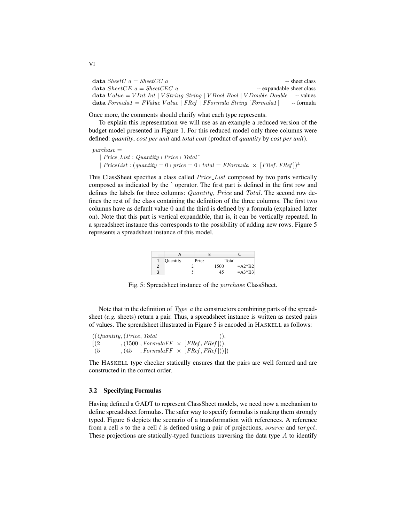data  $SheetC \ a = SheetCC \ a$  -- sheet class data  $SheetCE \ a = SheetCEC \ a$  -- expandable sheet class data Value = VInt Int | V String String | V Bool Bool | V Double Double -- values data  $Formula1 = FValue Value | FRef | FFormula String | Formula1 |$  -- formula

Once more, the comments should clarify what each type represents.

To explain this representation we will use as an example a reduced version of the budget model presented in Figure 1. For this reduced model only three columns were defined: *quantity*, *cost per unit* and *total cost* (product of *quantity* by *cost per unit*).

 $\mathit{purchase} =$  $| Price\_List : Quantity | Price | Total^`$ | PriceList :  $(quantity = 0 \mid price = 0 \mid total = FFormal \times [FRef, FRef])^{\downarrow}$ 

This ClassSheet specifies a class called *Price List* composed by two parts vertically composed as indicated by the ˆ operator. The first part is defined in the first row and defines the labels for three columns: Quantity, Price and Total. The second row defines the rest of the class containing the definition of the three columns. The first two columns have as default value 0 and the third is defined by a formula (explained latter on). Note that this part is vertical expandable, that is, it can be vertically repeated. In a spreadsheet instance this corresponds to the possibility of adding new rows. Figure 5 represents a spreadsheet instance of this model.



Fig. 5: Spreadsheet instance of the purchase ClassSheet.

Note that in the definition of *Type a* the constructors combining parts of the spreadsheet  $(e.g.$  sheets) return a pair. Thus, a spreadsheet instance is written as nested pairs of values. The spreadsheet illustrated in Figure 5 is encoded in HASKELL as follows:

 $((\textit{Quantity}, (\textit{Price}, \textit{Total}))$  $(2$  ,  $(1500, FormulaFF \times [FRef, FRef]),$  $(5, 45, 55, 55, 55, 55, 65)$ 

The HASKELL type checker statically ensures that the pairs are well formed and are constructed in the correct order.

#### 3.2 Specifying Formulas

Having defined a GADT to represent ClassSheet models, we need now a mechanism to define spreadsheet formulas. The safer way to specify formulas is making them strongly typed. Figure 6 depicts the scenario of a transformation with references. A reference from a cell  $s$  to the a cell  $t$  is defined using a pair of projections, source and target. These projections are statically-typed functions traversing the data type  $A$  to identify

VI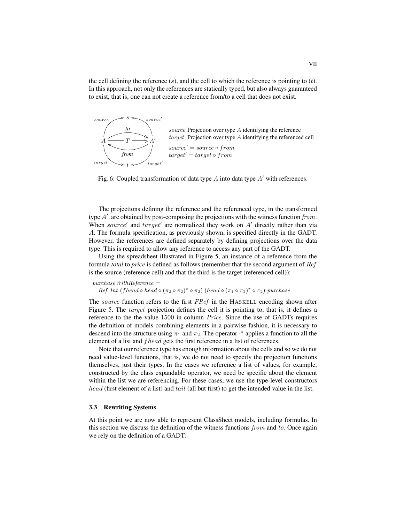the cell defining the reference  $(s)$ , and the cell to which the reference is pointing to  $(t)$ . In this approach, not only the references are statically typed, but also always guaranteed to exist, that is, one can not create a reference from/to a cell that does not exist.



Fig. 6: Coupled transformation of data type  $A$  into data type  $A'$  with references.

The projections defining the reference and the referenced type, in the transformed type  $A'$ , are obtained by post-composing the projections with the witness function from. When source' and target' are normalized they work on  $A'$  directly rather than via A. The formula specification, as previously shown, is specified directly in the GADT. However, the references are defined separately by defining projections over the data type. This is required to allow any reference to access any part of the GADT.

Using the spreadsheet illustrated in Figure 5, an instance of a reference from the formula *total* to *price* is defined as follows (remember that the second argument of Ref is the source (reference cell) and that the third is the target (referenced cell)):

```
pure haseWithReference =Ref Int (fhead \circ head \circ (\pi_2 \circ \pi_2)^* \circ \pi_2) (head \circ (\pi_1 \circ \pi_2)^* \circ \pi_2) purchase
```
The source function refers to the first FRef in the HASKELL encoding shown after Figure 5. The target projection defines the cell it is pointing to, that is, it defines a reference to the the value 1500 in column Price. Since the use of GADTs requires the definition of models combining elements in a pairwise fashion, it is necessary to descend into the structure using  $\pi_1$  and  $\pi_2$ . The operator  $\cdot^*$  applies a function to all the element of a list and fhead gets the first reference in a list of references.

Note that our reference type has enough information about the cells and so we do not need value-level functions, that is, we do not need to specify the projection functions themselves, just their types. In the cases we reference a list of values, for example, constructed by the class expandable operator, we need be specific about the element within the list we are referencing. For these cases, we use the type-level constructors head (first element of a list) and tail (all but first) to get the intended value in the list.

#### 3.3 Rewriting Systems

At this point we are now able to represent ClassSheet models, including formulas. In this section we discuss the definition of the witness functions  $from$  and  $to$ . Once again we rely on the definition of a GADT: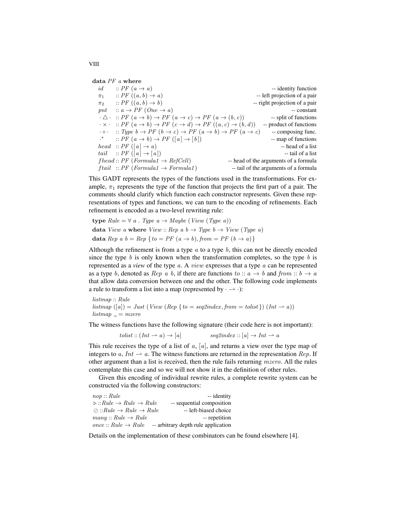data PF a where  $id$  ::  $PF(a \rightarrow a)$  -- identity function  $\pi_1$  ::  $PF((a, b) \rightarrow a)$  -- left projection of a pair  $\pi_2$  :: PF  $((a, b) \rightarrow b)$  -- right projection of a pair pnt  $:: a \rightarrow PF$  (One  $\rightarrow a$ ) -- constant  $\cdot \Delta$   $\cdot$  :: PF  $(a \rightarrow b) \rightarrow PF$   $(a \rightarrow c) \rightarrow PF$   $(a \rightarrow (b, c))$  -- split of functions  $\cdot \times \cdot :: PF(a \rightarrow b) \rightarrow PF(c \rightarrow d) \rightarrow PF((a, c) \rightarrow (b, d))$  -- product of functions  $\cdot \circ$  :: Type  $b \to PF$   $(b \to c) \to PF$   $(a \to b) \to PF$   $(a \to c)$  -- composing func. · ? ::  $PF(a \rightarrow b) \rightarrow PF([a] \rightarrow [b])$  -- map of functions head ::  $PF([a] \rightarrow a)$  -- head of a list tail ::  $PF([a] \rightarrow [a])$  -- tail of a list *fhead* ::  $PF$  (*Formula1*  $\rightarrow$  *RefCell*) -- head of the arguments of a formula *ftail* ::  $PF$  (*Formula1*  $\rightarrow$  *Formula1*) -- tail of the arguments of a formula

This GADT represents the types of the functions used in the transformations. For example,  $\pi_1$  represents the type of the function that projects the first part of a pair. The comments should clarify which function each constructor represents. Given these representations of types and functions, we can turn to the encoding of refinements. Each refinement is encoded as a two-level rewriting rule:

type  $Rule = \forall a$ . Type  $a \rightarrow Maybe$  (View (Type a)) data View a where View :: Rep a  $b \rightarrow Type \ b \rightarrow View \ (Type \ a)$ data Rep  $a b = Rep \{ to = PF (a \rightarrow b), from = PF (b \rightarrow a) \}$ 

Although the refinement is from a type  $a$  to a type  $b$ , this can not be directly encoded since the type  $b$  is only known when the transformation completes, so the type  $b$  is represented as a *view* of the type a. A view expresses that a type a can be represented as a type b, denoted as Rep a b, if there are functions to ::  $a \rightarrow b$  and from ::  $b \rightarrow a$ that allow data conversion between one and the other. The following code implements a rule to transform a list into a map (represented by  $\cdot \rightarrow \cdot$ ):

listmap :: Rule listmap  $([a]) = Just$  (View (Rep {to = seq2index, from = tolist}) (Int  $\rightarrow a)$ )  $listmap = mzero$ 

The witness functions have the following signature (their code here is not important):

tolist ::  $(Int \rightharpoonup a) \rightharpoonup [a]$  seq2index ::  $[a] \rightharpoonup Int \rightharpoonup a$ 

This rule receives the type of a list of  $a$ , [a], and returns a view over the type map of integers to a, Int  $\rightarrow a$ . The witness functions are returned in the representation Rep. If other argument than a list is received, then the rule fails returning mzero. All the rules contemplate this case and so we will not show it in the definition of other rules.

Given this encoding of individual rewrite rules, a complete rewrite system can be constructed via the following constructors:

| nop :: Rule                                                    | -- identity                         |
|----------------------------------------------------------------|-------------------------------------|
| $\triangleright$ :: Rule $\rightarrow$ Rule $\rightarrow$ Rule | -- sequential composition           |
| $\oslash$ ::Rule $\rightarrow$ Rule $\rightarrow$ Rule         | -- left-biased choice               |
| $many: Rule \rightarrow Rule$                                  | -- repetition                       |
| once :: Rule $\rightarrow$ Rule                                | -- arbitrary depth rule application |

Details on the implementation of these combinators can be found elsewhere [4].

VIII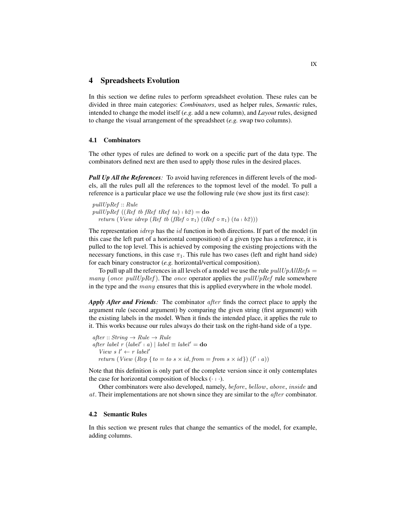### 4 Spreadsheets Evolution

In this section we define rules to perform spreadsheet evolution. These rules can be divided in three main categories: *Combinators*, used as helper rules, *Semantic* rules, intended to change the model itself (*e.g.* add a new column), and *Layout* rules, designed to change the visual arrangement of the spreadsheet (*e.g.* swap two columns).

#### 4.1 Combinators

The other types of rules are defined to work on a specific part of the data type. The combinators defined next are then used to apply those rules in the desired places.

*Pull Up All the References:* To avoid having references in different levels of the models, all the rules pull all the references to the topmost level of the model. To pull a reference is a particular place we use the following rule (we show just its first case):

pullUpRef :: Rule pullUpRef ((Ref tb fRef tRef ta)  $\mid b2 \rangle =$ **do** return (View idrep (Ref tb (fRef  $\circ \pi_1$ ) (tRef  $\circ \pi_1$ ) (ta  $\circ \theta_2$ )))

The representation  $idrep$  has the  $id$  function in both directions. If part of the model (in this case the left part of a horizontal composition) of a given type has a reference, it is pulled to the top level. This is achieved by composing the existing projections with the necessary functions, in this case  $\pi_1$ . This rule has two cases (left and right hand side) for each binary constructor (*e.g.* horizontal/vertical composition).

To pull up all the references in all levels of a model we use the rule  $pullUpAllRefs =$ *many* (once pullUpRef). The once operator applies the pullUpRef rule somewhere in the type and the many ensures that this is applied everywhere in the whole model.

*Apply After and Friends:* The combinator after finds the correct place to apply the argument rule (second argument) by comparing the given string (first argument) with the existing labels in the model. When it finds the intended place, it applies the rule to it. This works because our rules always do their task on the right-hand side of a type.

 $after::String \rightarrow Rule \rightarrow Rule$ after label r (label' + a) | label  $\equiv$  label' = do View s  $l' \leftarrow r$  label' return (View (Rep { to = to  $s \times id$ , from = from  $s \times id$  }) (l' + a))

Note that this definition is only part of the complete version since it only contemplates the case for horizontal composition of blocks  $(\cdot | \cdot)$ .

Other combinators were also developed, namely, before, bellow, above, inside and at. Their implementations are not shown since they are similar to the after combinator.

#### 4.2 Semantic Rules

In this section we present rules that change the semantics of the model, for example, adding columns.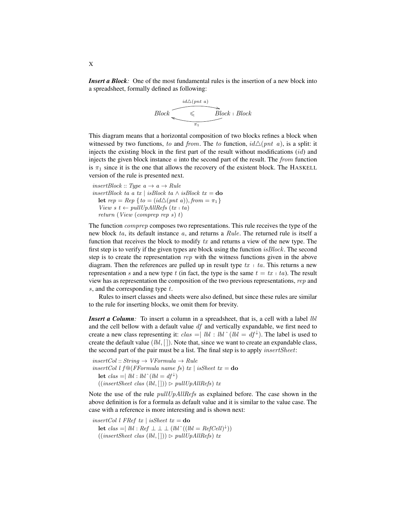*Insert a Block*: One of the most fundamental rules is the insertion of a new block into a spreadsheet, formally defined as following:

$$
Block \underbrace{\overbrace{\leqslant \qquad Block + Block}}^{\mathit{id} \triangle (pnt\ a)}.
$$

This diagram means that a horizontal composition of two blocks refines a block when witnessed by two functions, to and from. The to function,  $id\triangle(pnt \ a)$ , is a split: it injects the existing block in the first part of the result without modifications  $(id)$  and injects the given block instance  $a$  into the second part of the result. The *from* function is  $\pi_1$  since it is the one that allows the recovery of the existent block. The HASKELL version of the rule is presented next.

```
insertBlock :: Type \ a \rightarrow a \rightarrow RuleinsertBlock ta a tx | isBlock ta \wedge isBlock tx = do
  let rep = Rep \{ to = (id \triangle (pnt \ a)), from = \pi_1 \}View s t \leftarrow pullUpAllRefs (tx + ta)return (View (comprep rep s) t)
```
The function comprep composes two representations. This rule receives the type of the new block ta, its default instance a, and returns a Rule. The returned rule is itself a function that receives the block to modify  $tx$  and returns a view of the new type. The first step is to verify if the given types are block using the function  $isBlock$ . The second step is to create the representation rep with the witness functions given in the above diagram. Then the references are pulled up in result type  $tx + ta$ . This returns a new representation s and a new type t (in fact, the type is the same  $t = tx + ta$ ). The result view has as representation the composition of the two previous representations, rep and s, and the corresponding type t.

Rules to insert classes and sheets were also defined, but since these rules are similar to the rule for inserting blocks, we omit them for brevity.

*Insert a Column*: To insert a column in a spreadsheet, that is, a cell with a label lbl and the cell bellow with a default value  $df$  and vertically expandable, we first need to create a new class representing it:  $clas = | \; bl : \; lbl \; \hat{ } \; ( \; lbl = df^{\downarrow} ).$  The label is used to create the default value  $(lbl, []$ ). Note that, since we want to create an expandable class, the second part of the pair must be a list. The final step is to apply insertSheet:

```
insertCol :: String \rightarrow VFormula \rightarrow RuleinsertCol l f \mathcal{Q}(FFormula name fs) tx isSheet tx =do
    let clas = | \, \textit{lbl} : \textit{lbl}^{\wedge}(\textit{lbl} = \textit{df}^{\downarrow})((insertSheet \text{ clas } (lbl, [])) \rhd pullUpAllRefs) \text{ tr}
```
Note the use of the rule *pullUpAllRefs* as explained before. The case shown in the above definition is for a formula as default value and it is similar to the value case. The case with a reference is more interesting and is shown next:

```
insertCol l FRef tx | isSheet tx =do
    let clas = | \, \textit{lbl} : \textit{Ref} \perp \perp \perp (\textit{lbl}^{\wedge}((\textit{lbl} = \textit{RefCell})^{\downarrow}))((insertSheet \; clas \; (lbl, [\;])) \rhd pullUpAllRefs) \; tx
```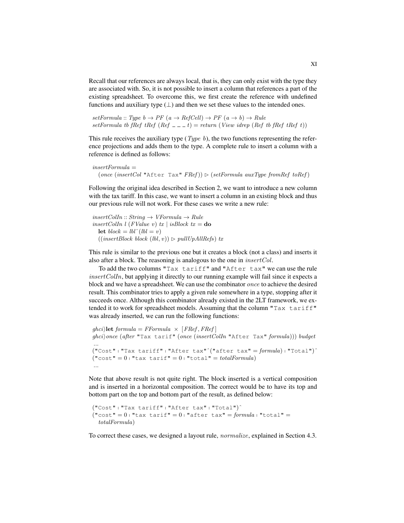Recall that our references are always local, that is, they can only exist with the type they are associated with. So, it is not possible to insert a column that references a part of the existing spreadsheet. To overcome this, we first create the reference with undefined functions and auxiliary type  $(\perp)$  and then we set these values to the intended ones.

```
setFormula :: Type b \to PF (a \to RefCell) \to PF (a \to b) \to RulesetFormula tb fRef tRef (Ref \_ \_ \_ \_ \}) = return (View idrep (Ref \ t\ b \ fRef \ tRef \ t)))
```
This rule receives the auxiliary type  $(Type\; b)$ , the two functions representing the reference projections and adds them to the type. A complete rule to insert a column with a reference is defined as follows:

```
insertFormula =(once (insertCol "After Tax" FRef)) \triangleright (setFormula auxType fromRef toRef)
```
Following the original idea described in Section 2, we want to introduce a new column with the tax tariff. In this case, we want to insert a column in an existing block and thus our previous rule will not work. For these cases we write a new rule:

 $insertColln :: String \rightarrow VFormula \rightarrow Rule$ insertColIn l (FValue v) tx | isBlock  $tx =$ **do** let  $block = lbl^{\hat{ }}(lbl = v)$  $((insertBlock block (lb, v)) \geq pullUpAllRefs) tx$ 

This rule is similar to the previous one but it creates a block (not a class) and inserts it also after a block. The reasoning is analogous to the one in insertCol.

To add the two columns "Tax tariff" and "After tax" we can use the rule insert ColIn, but applying it directly to our running example will fail since it expects a block and we have a spreadsheet. We can use the combinator once to achieve the desired result. This combinator tries to apply a given rule somewhere in a type, stopping after it succeeds once. Although this combinator already existed in the 2LT framework, we extended it to work for spreadsheet models. Assuming that the column "Tax tariff" was already inserted, we can run the following functions:

```
ghci)let formula = FFormula \times [FRef, FRef]
ghci\rangle once (after "Tax tariff" (once (insertColln "After Tax" formula))) budget...
("Cost" | "Tax tariff" | "After tax"("after tax" = formula) | "Total"("cost" = 0 | "tax tarif" = 0 | "total" = totalFormula)...
```
Note that above result is not quite right. The block inserted is a vertical composition and is inserted in a horizontal composition. The correct would be to have its top and bottom part on the top and bottom part of the result, as defined below:

```
("Cost" + "Tax tariff" + "After tax" + "Total")^`("cost" = 0 \rightarrow "tax tarif" = 0 \rightarrow "after tax" = formula \rightarrow "total" =totalFormula)
```
To correct these cases, we designed a layout rule, normalize, explained in Section 4.3.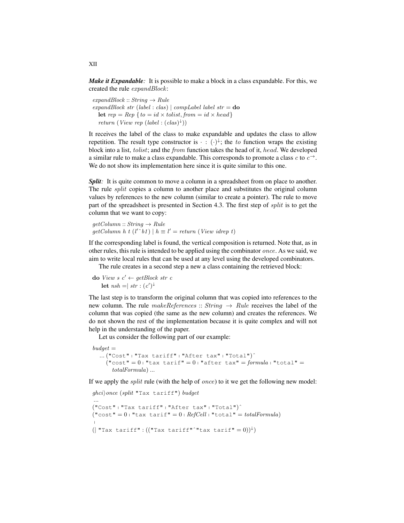*Make it Expandable:* It is possible to make a block in a class expandable. For this, we created the rule expandBlock:

 $expandBlock :: String \rightarrow Rule$ expandBlock str (label : clas) | compLabel label str =  $d\mathbf{o}$ let  $rep = Rep \{ to = id \times to list, from = id \times head \}$ return (View rep (label :  $(clas)^{\downarrow})$ )

It receives the label of the class to make expandable and updates the class to allow repetition. The result type constructor is  $\cdot : (\cdot)^{\downarrow}$ ; the to function wraps the existing block into a list, tolist; and the from function takes the head of it, head. We developed a similar rule to make a class expandable. This corresponds to promote a class c to  $c^{\rightarrow}$ . We do not show its implementation here since it is quite similar to this one.

*Split*: It is quite common to move a column in a spreadsheet from on place to another. The rule *split* copies a column to another place and substitutes the original column values by references to the new column (similar to create a pointer). The rule to move part of the spreadsheet is presented in Section 4.3. The first step of split is to get the column that we want to copy:

```
getColumn :: String \rightarrow RulegetColumn \; h \; t \; (l' \; b1) \mid h \equiv l' = return \; (View \; idrep \; t)
```
If the corresponding label is found, the vertical composition is returned. Note that, as in other rules, this rule is intended to be applied using the combinator once. As we said, we aim to write local rules that can be used at any level using the developed combinators.

The rule creates in a second step a new a class containing the retrieved block:

```
do View s c' \leftarrow getBlock str clet nsh = | str : (c')^{\downarrow}
```
The last step is to transform the original column that was copied into references to the new column. The rule makeReferences :: String  $\rightarrow$  Rule receives the label of the column that was copied (the same as the new column) and creates the references. We do not shown the rest of the implementation because it is quite complex and will not help in the understanding of the paper.

Let us consider the following part of our example:

```
\boldsymbol{b} \boldsymbol{u} \boldsymbol{d} \boldsymbol{q} \boldsymbol{e} \boldsymbol{t} =... ("Cost" | "Tax tariff" | "After tax" | "Total")^
       ("cost" = 0 \mid "tax tarif" = 0 \mid "after tax" = formula \mid "total" =totalFormula) ...
```
If we apply the *split* rule (with the help of  $once)$  to it we get the following new model:

```
ghci\rangle once (split "Tax tariff") budget
```

```
...
("Cost" + "Tax tarifff" + "After tax" + "Total")^`("cost" = 0 | "tax tarif" = 0 | RefCell | "total" = totalFormula).<br>I
(| "Tax tariff":(("Tax tariff"<sup>^</sup>"tax tarif" = 0))<sup>\downarrow</sup>)
```
XII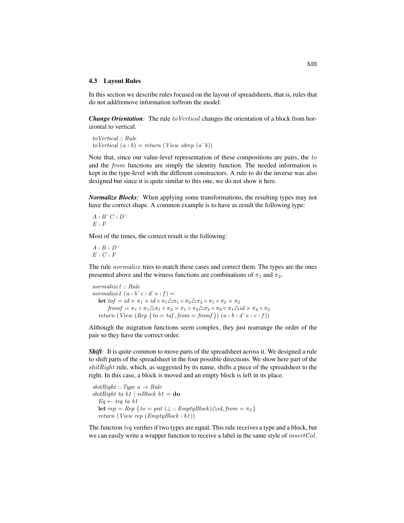#### 4.3 Layout Rules

In this section we describe rules focused on the layout of spreadsheets, that is, rules that do not add/remove information to/from the model.

*Change Orientation:* The rule to Vertical changes the orientation of a block from horizontal to vertical.

```
toVertical :: Rule
toVertical (a + b) = return (View idrep (a<sup>^</sup>b))
```
Note that, since our value-level representation of these compositions are pairs, the to and the from functions are simply the identity function. The needed information is kept in the type-level with the different constructors. A rule to do the inverse was also designed but since it is quite similar to this one, we do not show it here.

*Normalize Blocks:* When applying some transformations, the resulting types may not have the correct shape. A common example is to have as result the following type:

 $A + B^{\wedge} C + D^{\wedge}$  $E \perp F$ 

Most of the times, the correct result is the following:

 $A + B + D^*$  $E + C + F$ 

The rule *normalize* tries to match these cases and correct them. The types are the ones presented above and the witness functions are combinations of  $\pi_1$  and  $\pi_2$ .

```
normalize1 :: Rule
normalize1 (a + b \hat{c} + d \hat{c} + f) =let \text{tof} = \text{id} \times \pi_1 \times \text{id} \circ \pi_1 \triangle \pi_1 \circ \pi_2 \triangle \pi_2 \circ \pi_1 \circ \pi_2 \times \pi_2from f = \pi_1 \circ \pi_1 \triangle \pi_1 \circ \pi_2 \times \pi_1 \circ \pi_2 \triangle \pi_2 \circ \pi_2 \circ \pi_1 \triangle id \times \pi_2 \circ \pi_2return (View (Rep {to = tof, from = from f}) (a + b + d \hat{e} + c + f))
```
Although the migration functions seem complex, they just rearrange the order of the pair so they have the correct order.

*Shift*: It is quite common to move parts of the spreadsheet across it. We designed a rule to shift parts of the spreadsheet in the four possible directions. We show here part of the  $shiftRight$  rule, which, as suggested by its name, shifts a piece of the spreadsheet to the right. In this case, a block is moved and an empty block is left in its place.

```
shiftRight :: Type \ a \rightarrow RuleshitRight ta b1 | isBlock b1 = d\mathbf{o}Eq \leftarrow \textit{tea} \textit{ta} \textit{b1}let rep = Rep \{to = pnt \ (\bot :: EmptyBlock) \triangle id, from = \pi_2 \}return (View rep (EmptyBlock + b1))
```
The function teq verifies if two types are equal. This rule receives a type and a block, but we can easily write a wrapper function to receive a label in the same style of *insertCol*.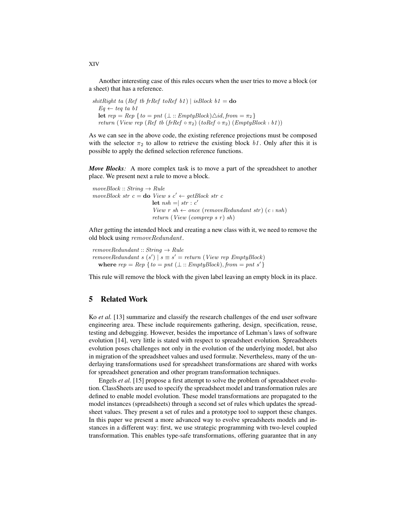Another interesting case of this rules occurs when the user tries to move a block (or a sheet) that has a reference.

shitRight ta (Ref tb frRef toRef b1) | isBlock b1 =  $d\mathbf{o}$  $Eq \leftarrow \textit{teq} \textit{ta} \textit{b1}$ let  $rep = Rep \{to = pnt \ (\bot :: EmptyBlock) \triangle id, from = \pi_2 \}$ return (View rep (Ref tb (frRef  $\circ \pi_2$ ) (toRef  $\circ \pi_2$ ) (EmptyBlock  $\dots b1$ ))

As we can see in the above code, the existing reference projections must be composed with the selector  $\pi_2$  to allow to retrieve the existing block b1. Only after this it is possible to apply the defined selection reference functions.

*Move Blocks:* A more complex task is to move a part of the spreadsheet to another place. We present next a rule to move a block.

 $moveBlock :: String \rightarrow Rule$ moveBlock str  $c =$  do View s  $c' \leftarrow$  getBlock str c let  $nsh = | str : c'$ View r sh  $\leftarrow$  once (removeRedundant str)  $(c + nsh)$ return (View (comprep s r) sh)

After getting the intended block and creating a new class with it, we need to remove the old block using removeRedundant.

```
removeRedundant :: String \rightarrow RuleremoveRedundant\ s\ (s')\ | \ s \equiv s' = return\ (View\ rep\ EmptylBlock)where rep = Rep \{ to = pnt \ (\bot :: EmptyBlock), from = pnt s' \}
```
This rule will remove the block with the given label leaving an empty block in its place.

## 5 Related Work

Ko *et al.* [13] summarize and classify the research challenges of the end user software engineering area. These include requirements gathering, design, specification, reuse, testing and debugging. However, besides the importance of Lehman's laws of software evolution [14], very little is stated with respect to spreadsheet evolution. Spreadsheets evolution poses challenges not only in the evolution of the underlying model, but also in migration of the spreadsheet values and used formulæ. Nevertheless, many of the underlaying transformations used for spreadsheet transformations are shared with works for spreadsheet generation and other program transformation techniques.

Engels *et al.* [15] propose a first attempt to solve the problem of spreadsheet evolution. ClassSheets are used to specify the spreadsheet model and transformation rules are defined to enable model evolution. These model transformations are propagated to the model instances (spreadsheets) through a second set of rules which updates the spreadsheet values. They present a set of rules and a prototype tool to support these changes. In this paper we present a more advanced way to evolve spreadsheets models and instances in a different way: first, we use strategic programming with two-level coupled transformation. This enables type-safe transformations, offering guarantee that in any

XIV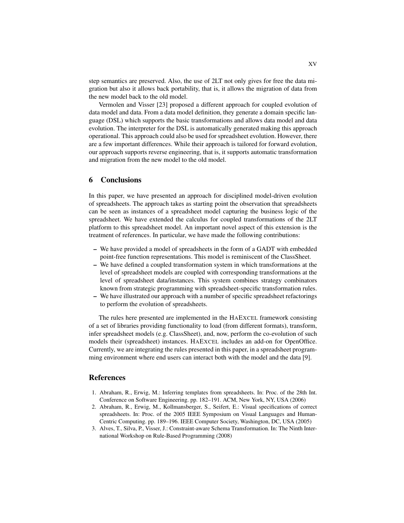step semantics are preserved. Also, the use of 2LT not only gives for free the data migration but also it allows back portability, that is, it allows the migration of data from the new model back to the old model.

Vermolen and Visser [23] proposed a different approach for coupled evolution of data model and data. From a data model definition, they generate a domain specific language (DSL) which supports the basic transformations and allows data model and data evolution. The interpreter for the DSL is automatically generated making this approach operational. This approach could also be used for spreadsheet evolution. However, there are a few important differences. While their approach is tailored for forward evolution, our approach supports reverse engineering, that is, it supports automatic transformation and migration from the new model to the old model.

### 6 Conclusions

In this paper, we have presented an approach for disciplined model-driven evolution of spreadsheets. The approach takes as starting point the observation that spreadsheets can be seen as instances of a spreadsheet model capturing the business logic of the spreadsheet. We have extended the calculus for coupled transformations of the 2LT platform to this spreadsheet model. An important novel aspect of this extension is the treatment of references. In particular, we have made the following contributions:

- We have provided a model of spreadsheets in the form of a GADT with embedded point-free function representations. This model is reminiscent of the ClassSheet.
- We have defined a coupled transformation system in which transformations at the level of spreadsheet models are coupled with corresponding transformations at the level of spreadsheet data/instances. This system combines strategy combinators known from strategic programming with spreadsheet-specific transformation rules.
- We have illustrated our approach with a number of specific spreadsheet refactorings to perform the evolution of spreadsheets.

The rules here presented are implemented in the HAEXCEL framework consisting of a set of libraries providing functionality to load (from different formats), transform, infer spreadsheet models (e.g. ClassSheet), and, now, perform the co-evolution of such models their (spreadsheet) instances. HAEXCEL includes an add-on for OpenOffice. Currently, we are integrating the rules presented in this paper, in a spreadsheet programming environment where end users can interact both with the model and the data [9].

## **References**

- 1. Abraham, R., Erwig, M.: Inferring templates from spreadsheets. In: Proc. of the 28th Int. Conference on Software Engineering. pp. 182–191. ACM, New York, NY, USA (2006)
- 2. Abraham, R., Erwig, M., Kollmansberger, S., Seifert, E.: Visual specifications of correct spreadsheets. In: Proc. of the 2005 IEEE Symposium on Visual Languages and Human-Centric Computing. pp. 189–196. IEEE Computer Society, Washington, DC, USA (2005)
- 3. Alves, T., Silva, P., Visser, J.: Constraint-aware Schema Transformation. In: The Ninth International Workshop on Rule-Based Programming (2008)